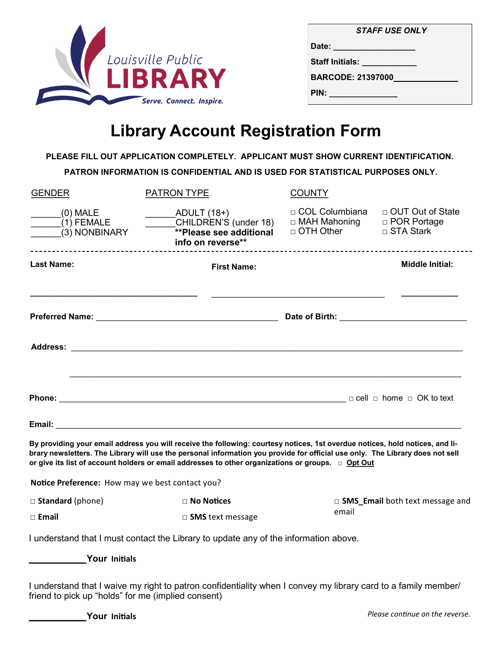

| <b>STAFF USE ONLY</b>    |  |  |  |  |  |
|--------------------------|--|--|--|--|--|
| Date: ________           |  |  |  |  |  |
| Staff Initials:          |  |  |  |  |  |
| <b>BARCODE: 21397000</b> |  |  |  |  |  |
| PIN:                     |  |  |  |  |  |

## **Library Account Registration Form**

**PLEASE FILL OUT APPLICATION COMPLETELY. APPLICANT MUST SHOW CURRENT IDENTIFICATION.**

**PATRON INFORMATION IS CONFIDENTIAL AND IS USED FOR STATISTICAL PURPOSES ONLY.**

| <b>GENDER</b>                                                                           | <b>PATRON TYPE</b>                                                                                                                                                                                                                                                                                                                                                  | <b>COUNTY</b>                                     |                                                    |  |  |
|-----------------------------------------------------------------------------------------|---------------------------------------------------------------------------------------------------------------------------------------------------------------------------------------------------------------------------------------------------------------------------------------------------------------------------------------------------------------------|---------------------------------------------------|----------------------------------------------------|--|--|
| $(0)$ MALE<br>$(1)$ FEMALE<br>$(3)$ NONBINARY<br>'<br>--------------------------------- | _________ADULT (18+)<br>CHILDREN'S (under 18)<br><b>**Please see additional</b><br>info on reverse**                                                                                                                                                                                                                                                                | □ COL Columbiana<br>□ MAH Mahoning<br>□ OTH Other | □ OUT Out of State<br>□ POR Portage<br>□ STA Stark |  |  |
| <b>Last Name:</b>                                                                       | <b>First Name:</b>                                                                                                                                                                                                                                                                                                                                                  |                                                   | <b>Middle Initial:</b>                             |  |  |
|                                                                                         |                                                                                                                                                                                                                                                                                                                                                                     |                                                   |                                                    |  |  |
|                                                                                         |                                                                                                                                                                                                                                                                                                                                                                     |                                                   |                                                    |  |  |
|                                                                                         |                                                                                                                                                                                                                                                                                                                                                                     |                                                   |                                                    |  |  |
|                                                                                         |                                                                                                                                                                                                                                                                                                                                                                     |                                                   |                                                    |  |  |
|                                                                                         | By providing your email address you will receive the following: courtesy notices, 1st overdue notices, hold notices, and li-<br>brary newsletters. The Library will use the personal information you provide for official use only. The Library does not sell<br>or give its list of account holders or email addresses to other organizations or groups. □ Opt Out |                                                   |                                                    |  |  |
| Notice Preference: How may we best contact you?                                         |                                                                                                                                                                                                                                                                                                                                                                     |                                                   |                                                    |  |  |
| $\Box$ Standard (phone)                                                                 | $\Box$ No Notices                                                                                                                                                                                                                                                                                                                                                   |                                                   | $\Box$ SMS_Email both text message and<br>email    |  |  |
| □ Email                                                                                 | $\Box$ SMS text message                                                                                                                                                                                                                                                                                                                                             |                                                   |                                                    |  |  |
|                                                                                         | I understand that I must contact the Library to update any of the information above.                                                                                                                                                                                                                                                                                |                                                   |                                                    |  |  |
| Your Initials                                                                           |                                                                                                                                                                                                                                                                                                                                                                     |                                                   |                                                    |  |  |
| friend to pick up "holds" for me (implied consent)                                      | I understand that I waive my right to patron confidentiality when I convey my library card to a family member/                                                                                                                                                                                                                                                      |                                                   |                                                    |  |  |